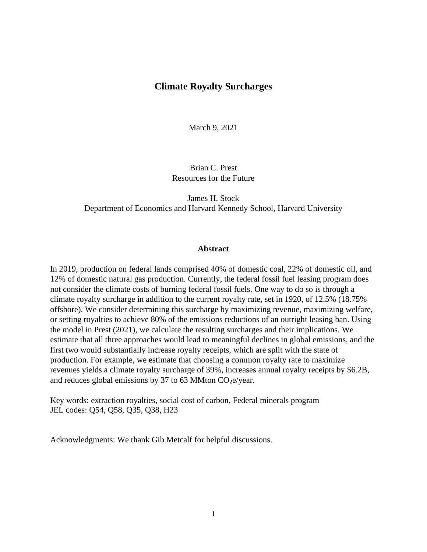### **Climate Royalty Surcharges**

March 9, 2021

Brian C. Prest Resources for the Future

James H. Stock Department of Economics and Harvard Kennedy School, Harvard University

#### **Abstract**

In 2019, production on federal lands comprised 40% of domestic coal, 22% of domestic oil, and 12% of domestic natural gas production. Currently, the federal fossil fuel leasing program does not consider the climate costs of burning federal fossil fuels. One way to do so is through a climate royalty surcharge in addition to the current royalty rate, set in 1920, of 12.5% (18.75% offshore). We consider determining this surcharge by maximizing revenue, maximizing welfare, or setting royalties to achieve 80% of the emissions reductions of an outright leasing ban. Using the model in Prest (2021), we calculate the resulting surcharges and their implications. We estimate that all three approaches would lead to meaningful declines in global emissions, and the first two would substantially increase royalty receipts, which are split with the state of production. For example, we estimate that choosing a common royalty rate to maximize revenues yields a climate royalty surcharge of 39%, increases annual royalty receipts by \$6.2B, and reduces global emissions by 37 to 63 MMton  $CO<sub>2</sub>e/year$ .

Key words: extraction royalties, social cost of carbon, Federal minerals program JEL codes: Q54, Q58, Q35, Q38, H23

Acknowledgments: We thank Gib Metcalf for helpful discussions.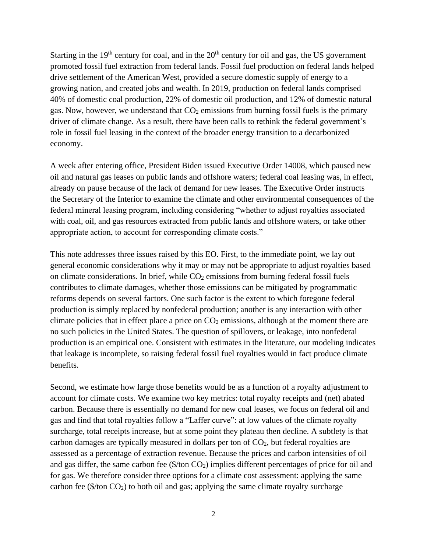Starting in the  $19<sup>th</sup>$  century for coal, and in the  $20<sup>th</sup>$  century for oil and gas, the US government promoted fossil fuel extraction from federal lands. Fossil fuel production on federal lands helped drive settlement of the American West, provided a secure domestic supply of energy to a growing nation, and created jobs and wealth. In 2019, production on federal lands comprised 40% of domestic coal production, 22% of domestic oil production, and 12% of domestic natural gas. Now, however, we understand that  $CO<sub>2</sub>$  emissions from burning fossil fuels is the primary driver of climate change. As a result, there have been calls to rethink the federal government's role in fossil fuel leasing in the context of the broader energy transition to a decarbonized economy.

A week after entering office, President Biden issued Executive Order 14008, which paused new oil and natural gas leases on public lands and offshore waters; federal coal leasing was, in effect, already on pause because of the lack of demand for new leases. The Executive Order instructs the Secretary of the Interior to examine the climate and other environmental consequences of the federal mineral leasing program, including considering "whether to adjust royalties associated with coal, oil, and gas resources extracted from public lands and offshore waters, or take other appropriate action, to account for corresponding climate costs."

This note addresses three issues raised by this EO. First, to the immediate point, we lay out general economic considerations why it may or may not be appropriate to adjust royalties based on climate considerations. In brief, while  $CO<sub>2</sub>$  emissions from burning federal fossil fuels contributes to climate damages, whether those emissions can be mitigated by programmatic reforms depends on several factors. One such factor is the extent to which foregone federal production is simply replaced by nonfederal production; another is any interaction with other climate policies that in effect place a price on  $CO<sub>2</sub>$  emissions, although at the moment there are no such policies in the United States. The question of spillovers, or leakage, into nonfederal production is an empirical one. Consistent with estimates in the literature, our modeling indicates that leakage is incomplete, so raising federal fossil fuel royalties would in fact produce climate benefits.

Second, we estimate how large those benefits would be as a function of a royalty adjustment to account for climate costs. We examine two key metrics: total royalty receipts and (net) abated carbon. Because there is essentially no demand for new coal leases, we focus on federal oil and gas and find that total royalties follow a "Laffer curve": at low values of the climate royalty surcharge, total receipts increase, but at some point they plateau then decline. A subtlety is that carbon damages are typically measured in dollars per ton of  $CO<sub>2</sub>$ , but federal royalties are assessed as a percentage of extraction revenue. Because the prices and carbon intensities of oil and gas differ, the same carbon fee  $(\frac{1}{2}$  /ton CO<sub>2</sub>) implies different percentages of price for oil and for gas. We therefore consider three options for a climate cost assessment: applying the same carbon fee ( $\frac{\pi}{2}$ ) to both oil and gas; applying the same climate royalty surcharge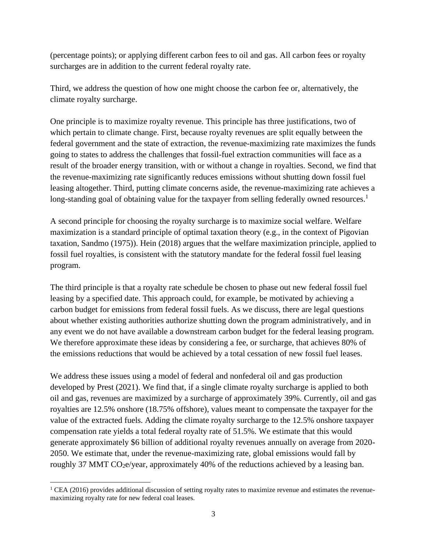(percentage points); or applying different carbon fees to oil and gas. All carbon fees or royalty surcharges are in addition to the current federal royalty rate.

Third, we address the question of how one might choose the carbon fee or, alternatively, the climate royalty surcharge.

One principle is to maximize royalty revenue. This principle has three justifications, two of which pertain to climate change. First, because royalty revenues are split equally between the federal government and the state of extraction, the revenue-maximizing rate maximizes the funds going to states to address the challenges that fossil-fuel extraction communities will face as a result of the broader energy transition, with or without a change in royalties. Second, we find that the revenue-maximizing rate significantly reduces emissions without shutting down fossil fuel leasing altogether. Third, putting climate concerns aside, the revenue-maximizing rate achieves a long-standing goal of obtaining value for the taxpayer from selling federally owned resources.<sup>1</sup>

A second principle for choosing the royalty surcharge is to maximize social welfare. Welfare maximization is a standard principle of optimal taxation theory (e.g., in the context of Pigovian taxation, Sandmo (1975)). Hein (2018) argues that the welfare maximization principle, applied to fossil fuel royalties, is consistent with the statutory mandate for the federal fossil fuel leasing program.

The third principle is that a royalty rate schedule be chosen to phase out new federal fossil fuel leasing by a specified date. This approach could, for example, be motivated by achieving a carbon budget for emissions from federal fossil fuels. As we discuss, there are legal questions about whether existing authorities authorize shutting down the program administratively, and in any event we do not have available a downstream carbon budget for the federal leasing program. We therefore approximate these ideas by considering a fee, or surcharge, that achieves 80% of the emissions reductions that would be achieved by a total cessation of new fossil fuel leases.

We address these issues using a model of federal and nonfederal oil and gas production developed by Prest (2021). We find that, if a single climate royalty surcharge is applied to both oil and gas, revenues are maximized by a surcharge of approximately 39%. Currently, oil and gas royalties are 12.5% onshore (18.75% offshore), values meant to compensate the taxpayer for the value of the extracted fuels. Adding the climate royalty surcharge to the 12.5% onshore taxpayer compensation rate yields a total federal royalty rate of 51.5%. We estimate that this would generate approximately \$6 billion of additional royalty revenues annually on average from 2020- 2050. We estimate that, under the revenue-maximizing rate, global emissions would fall by roughly 37 MMT CO<sub>2</sub>e/year, approximately 40% of the reductions achieved by a leasing ban.

 $1$  CEA (2016) provides additional discussion of setting royalty rates to maximize revenue and estimates the revenuemaximizing royalty rate for new federal coal leases.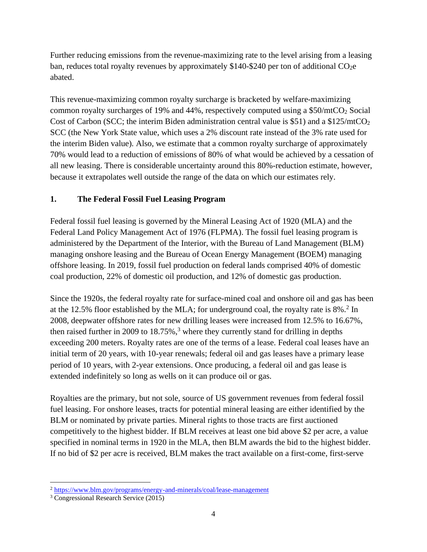Further reducing emissions from the revenue-maximizing rate to the level arising from a leasing ban, reduces total royalty revenues by approximately \$140-\$240 per ton of additional CO<sub>2</sub>e abated.

This revenue-maximizing common royalty surcharge is bracketed by welfare-maximizing common royalty surcharges of 19% and 44%, respectively computed using a  $$50/mtCO<sub>2</sub>$  Social Cost of Carbon (SCC; the interim Biden administration central value is \$51) and a  $$125/mtCO<sub>2</sub>$ SCC (the New York State value, which uses a 2% discount rate instead of the 3% rate used for the interim Biden value). Also, we estimate that a common royalty surcharge of approximately 70% would lead to a reduction of emissions of 80% of what would be achieved by a cessation of all new leasing. There is considerable uncertainty around this 80%-reduction estimate, however, because it extrapolates well outside the range of the data on which our estimates rely.

## **1. The Federal Fossil Fuel Leasing Program**

Federal fossil fuel leasing is governed by the Mineral Leasing Act of 1920 (MLA) and the Federal Land Policy Management Act of 1976 (FLPMA). The fossil fuel leasing program is administered by the Department of the Interior, with the Bureau of Land Management (BLM) managing onshore leasing and the Bureau of Ocean Energy Management (BOEM) managing offshore leasing. In 2019, fossil fuel production on federal lands comprised 40% of domestic coal production, 22% of domestic oil production, and 12% of domestic gas production.

Since the 1920s, the federal royalty rate for surface-mined coal and onshore oil and gas has been at the 12.5% floor established by the MLA; for underground coal, the royalty rate is  $8\%$ <sup>2</sup>. In 2008, deepwater offshore rates for new drilling leases were increased from 12.5% to 16.67%, then raised further in 2009 to 18.75%, <sup>3</sup> where they currently stand for drilling in depths exceeding 200 meters. Royalty rates are one of the terms of a lease. Federal coal leases have an initial term of 20 years, with 10-year renewals; federal oil and gas leases have a primary lease period of 10 years, with 2-year extensions. Once producing, a federal oil and gas lease is extended indefinitely so long as wells on it can produce oil or gas.

Royalties are the primary, but not sole, source of US government revenues from federal fossil fuel leasing. For onshore leases, tracts for potential mineral leasing are either identified by the BLM or nominated by private parties. Mineral rights to those tracts are first auctioned competitively to the highest bidder. If BLM receives at least one bid above \$2 per acre, a value specified in nominal terms in 1920 in the MLA, then BLM awards the bid to the highest bidder. If no bid of \$2 per acre is received, BLM makes the tract available on a first-come, first-serve

<sup>2</sup> <https://www.blm.gov/programs/energy-and-minerals/coal/lease-management>

<sup>3</sup> Congressional Research Service (2015)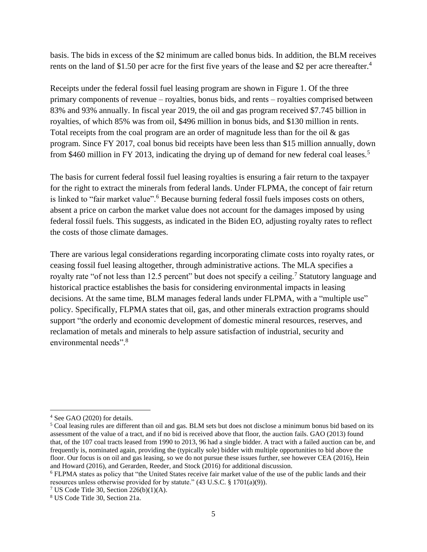basis. The bids in excess of the \$2 minimum are called bonus bids. In addition, the BLM receives rents on the land of \$1.50 per acre for the first five years of the lease and \$2 per acre thereafter.<sup>4</sup>

Receipts under the federal fossil fuel leasing program are shown in [Figure 1.](#page-5-0) Of the three primary components of revenue – royalties, bonus bids, and rents – royalties comprised between 83% and 93% annually. In fiscal year 2019, the oil and gas program received \$7.745 billion in royalties, of which 85% was from oil, \$496 million in bonus bids, and \$130 million in rents. Total receipts from the coal program are an order of magnitude less than for the oil  $\&$  gas program. Since FY 2017, coal bonus bid receipts have been less than \$15 million annually, down from \$460 million in FY 2013, indicating the drying up of demand for new federal coal leases.<sup>5</sup>

The basis for current federal fossil fuel leasing royalties is ensuring a fair return to the taxpayer for the right to extract the minerals from federal lands. Under FLPMA, the concept of fair return is linked to "fair market value".<sup>6</sup> Because burning federal fossil fuels imposes costs on others, absent a price on carbon the market value does not account for the damages imposed by using federal fossil fuels. This suggests, as indicated in the Biden EO, adjusting royalty rates to reflect the costs of those climate damages.

There are various legal considerations regarding incorporating climate costs into royalty rates, or ceasing fossil fuel leasing altogether, through administrative actions. The MLA specifies a royalty rate "of not less than 12.5 percent" but does not specify a ceiling.<sup>7</sup> Statutory language and historical practice establishes the basis for considering environmental impacts in leasing decisions. At the same time, BLM manages federal lands under FLPMA, with a "multiple use" policy. Specifically, FLPMA states that oil, gas, and other minerals extraction programs should support "the orderly and economic development of domestic mineral resources, reserves, and reclamation of metals and minerals to help assure satisfaction of industrial, security and environmental needs".<sup>8</sup>

<sup>4</sup> See GAO (2020) for details.

<sup>&</sup>lt;sup>5</sup> Coal leasing rules are different than oil and gas. BLM sets but does not disclose a minimum bonus bid based on its assessment of the value of a tract, and if no bid is received above that floor, the auction fails. GAO (2013) found that, of the 107 coal tracts leased from 1990 to 2013, 96 had a single bidder. A tract with a failed auction can be, and frequently is, nominated again, providing the (typically sole) bidder with multiple opportunities to bid above the floor. Our focus is on oil and gas leasing, so we do not pursue these issues further, see however CEA (2016), Hein and Howard (2016), and Gerarden, Reeder, and Stock (2016) for additional discussion.

<sup>6</sup> FLPMA states as policy that "the United States receive fair market value of the use of the public lands and their resources unless otherwise provided for by statute." (43 U.S.C. § 1701(a)(9)).

<sup>&</sup>lt;sup>7</sup> US Code Title 30, Section  $226(b)(1)(A)$ .

<sup>8</sup> US Code Title 30, Section 21a.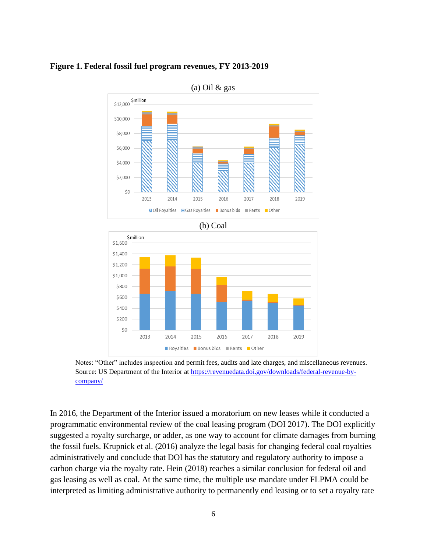

### <span id="page-5-0"></span>**Figure 1. Federal fossil fuel program revenues, FY 2013-2019**



Notes: "Other" includes inspection and permit fees, audits and late charges, and miscellaneous revenues. Source: US Department of the Interior at [https://revenuedata.doi.gov/downloads/federal-revenue-by](https://revenuedata.doi.gov/downloads/federal-revenue-by-company/)[company/](https://revenuedata.doi.gov/downloads/federal-revenue-by-company/)

In 2016, the Department of the Interior issued a moratorium on new leases while it conducted a programmatic environmental review of the coal leasing program (DOI 2017). The DOI explicitly suggested a royalty surcharge, or adder, as one way to account for climate damages from burning the fossil fuels. Krupnick et al. (2016) analyze the legal basis for changing federal coal royalties administratively and conclude that DOI has the statutory and regulatory authority to impose a carbon charge via the royalty rate. Hein (2018) reaches a similar conclusion for federal oil and gas leasing as well as coal. At the same time, the multiple use mandate under FLPMA could be interpreted as limiting administrative authority to permanently end leasing or to set a royalty rate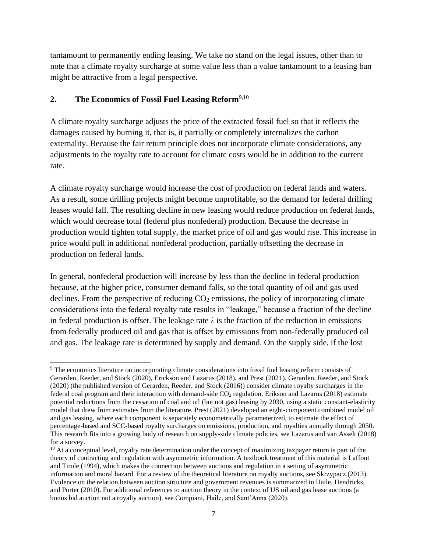tantamount to permanently ending leasing. We take no stand on the legal issues, other than to note that a climate royalty surcharge at some value less than a value tantamount to a leasing ban might be attractive from a legal perspective.

### 2. The Economics of Fossil Fuel Leasing Reform<sup>9,10</sup>

A climate royalty surcharge adjusts the price of the extracted fossil fuel so that it reflects the damages caused by burning it, that is, it partially or completely internalizes the carbon externality. Because the fair return principle does not incorporate climate considerations, any adjustments to the royalty rate to account for climate costs would be in addition to the current rate.

A climate royalty surcharge would increase the cost of production on federal lands and waters. As a result, some drilling projects might become unprofitable, so the demand for federal drilling leases would fall. The resulting decline in new leasing would reduce production on federal lands, which would decrease total (federal plus nonfederal) production. Because the decrease in production would tighten total supply, the market price of oil and gas would rise. This increase in price would pull in additional nonfederal production, partially offsetting the decrease in production on federal lands.

In general, nonfederal production will increase by less than the decline in federal production because, at the higher price, consumer demand falls, so the total quantity of oil and gas used declines. From the perspective of reducing  $CO<sub>2</sub>$  emissions, the policy of incorporating climate considerations into the federal royalty rate results in "leakage," because a fraction of the decline in federal production is offset. The leakage rate  $\lambda$  is the fraction of the reduction in emissions from federally produced oil and gas that is offset by emissions from non-federally produced oil and gas. The leakage rate is determined by supply and demand. On the supply side, if the lost

<sup>9</sup> The economics literature on incorporating climate considerations into fossil fuel leasing reform consists of Gerarden, Reeder, and Stock (2020), Erickson and Lazarus (2018), and Prest (2021). Gerarden, Reeder, and Stock (2020) (the published version of Gerarden, Reeder, and Stock (2016)) consider climate royalty surcharges in the federal coal program and their interaction with demand-side CO<sup>2</sup> regulation. Erikson and Lazarus (2018) estimate potential reductions from the cessation of coal and oil (but not gas) leasing by 2030, using a static constant-elasticity model that drew from estimates from the literature. Prest (2021) developed an eight-component combined model oil and gas leasing, where each component is separately econometrically parameterized, to estimate the effect of percentage-based and SCC-based royalty surcharges on emissions, production, and royalties annually through 2050. This research fits into a growing body of research on supply-side climate policies, see Lazarus and van Asselt (2018) for a survey.

<sup>&</sup>lt;sup>10</sup> At a conceptual level, royalty rate determination under the concept of maximizing taxpayer return is part of the theory of contracting and regulation with asymmetric information. A textbook treatment of this material is Laffont and Tirole (1994), which makes the connection between auctions and regulation in a setting of asymmetric information and moral hazard. For a review of the theoretical literature on royalty auctions, see Skrzypacz (2013). Evidence on the relation between auction structure and government revenues is summarized in Haile, Hendricks, and Porter (2010). For additional references to auction theory in the context of US oil and gas lease auctions (a bonus bid auction not a royalty auction), see Compiani, Haile, and Sant'Anna (2020).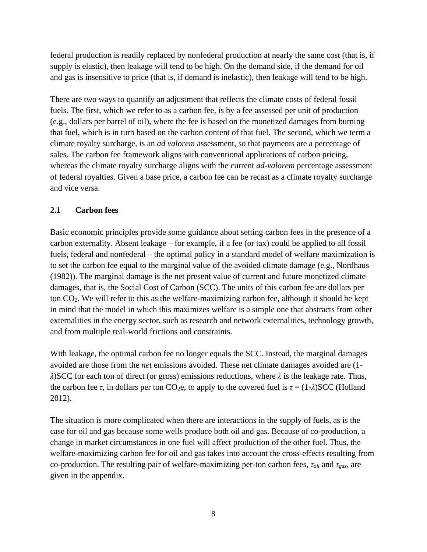federal production is readily replaced by nonfederal production at nearly the same cost (that is, if supply is elastic), then leakage will tend to be high. On the demand side, if the demand for oil and gas is insensitive to price (that is, if demand is inelastic), then leakage will tend to be high.

There are two ways to quantify an adjustment that reflects the climate costs of federal fossil fuels. The first, which we refer to as a carbon fee, is by a fee assessed per unit of production (e.g., dollars per barrel of oil), where the fee is based on the monetized damages from burning that fuel, which is in turn based on the carbon content of that fuel. The second, which we term a climate royalty surcharge, is an *ad valorem* assessment, so that payments are a percentage of sales. The carbon fee framework aligns with conventional applications of carbon pricing, whereas the climate royalty surcharge aligns with the current *ad-valorem* percentage assessment of federal royalties. Given a base price, a carbon fee can be recast as a climate royalty surcharge and vice versa.

### **2.1 Carbon fees**

Basic economic principles provide some guidance about setting carbon fees in the presence of a carbon externality. Absent leakage – for example, if a fee (or tax) could be applied to all fossil fuels, federal and nonfederal – the optimal policy in a standard model of welfare maximization is to set the carbon fee equal to the marginal value of the avoided climate damage (e.g., Nordhaus (1982)). The marginal damage is the net present value of current and future monetized climate damages, that is, the Social Cost of Carbon (SCC). The units of this carbon fee are dollars per ton CO2. We will refer to this as the welfare-maximizing carbon fee, although it should be kept in mind that the model in which this maximizes welfare is a simple one that abstracts from other externalities in the energy sector, such as research and network externalities, technology growth, and from multiple real-world frictions and constraints.

With leakage, the optimal carbon fee no longer equals the SCC. Instead, the marginal damages avoided are those from the *net* emissions avoided. These net climate damages avoided are (1 *λ*)SCC for each ton of direct (or gross) emissions reductions, where *λ* is the leakage rate. Thus, the carbon fee  $\tau$ , in dollars per ton CO<sub>2</sub>e, to apply to the covered fuel is  $\tau = (1-\lambda)SCC$  (Holland 2012).

The situation is more complicated when there are interactions in the supply of fuels, as is the case for oil and gas because some wells produce both oil and gas. Because of co-production, a change in market circumstances in one fuel will affect production of the other fuel. Thus, the welfare-maximizing carbon fee for oil and gas takes into account the cross-effects resulting from co-production. The resulting pair of welfare-maximizing per-ton carbon fees, *τoil* and *τgas*, are given in the appendix.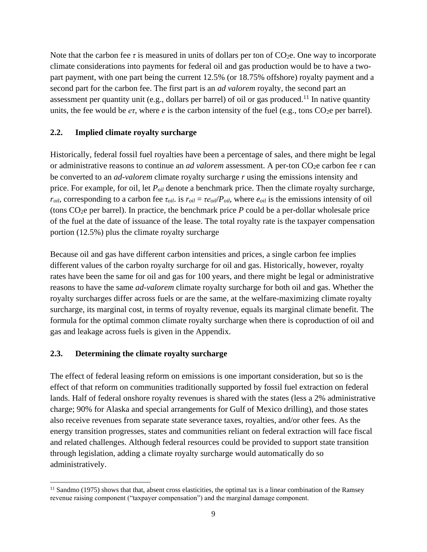Note that the carbon fee  $\tau$  is measured in units of dollars per ton of CO<sub>2</sub>e. One way to incorporate climate considerations into payments for federal oil and gas production would be to have a twopart payment, with one part being the current 12.5% (or 18.75% offshore) royalty payment and a second part for the carbon fee. The first part is an *ad valorem* royalty, the second part an assessment per quantity unit (e.g., dollars per barrel) of oil or gas produced.<sup>11</sup> In native quantity units, the fee would be  $e\tau$ , where  $e$  is the carbon intensity of the fuel (e.g., tons  $CO_2e$  per barrel).

### **2.2. Implied climate royalty surcharge**

Historically, federal fossil fuel royalties have been a percentage of sales, and there might be legal or administrative reasons to continue an *ad valorem* assessment. A per-ton CO2e carbon fee *τ* can be converted to an *ad-valorem* climate royalty surcharge *r* using the emissions intensity and price. For example, for oil, let *Poil* denote a benchmark price. Then the climate royalty surcharge, *r*<sub>oil</sub>, corresponding to a carbon fee  $\tau_{oil}$ . is  $r_{oil} = \tau e_{oil}/P_{oil}$ , where  $e_{oil}$  is the emissions intensity of oil (tons  $CO<sub>2</sub>e$  per barrel). In practice, the benchmark price *P* could be a per-dollar wholesale price of the fuel at the date of issuance of the lease. The total royalty rate is the taxpayer compensation portion (12.5%) plus the climate royalty surcharge

Because oil and gas have different carbon intensities and prices, a single carbon fee implies different values of the carbon royalty surcharge for oil and gas. Historically, however, royalty rates have been the same for oil and gas for 100 years, and there might be legal or administrative reasons to have the same *ad-valorem* climate royalty surcharge for both oil and gas. Whether the royalty surcharges differ across fuels or are the same, at the welfare-maximizing climate royalty surcharge, its marginal cost, in terms of royalty revenue, equals its marginal climate benefit. The formula for the optimal common climate royalty surcharge when there is coproduction of oil and gas and leakage across fuels is given in the Appendix.

#### **2.3. Determining the climate royalty surcharge**

The effect of federal leasing reform on emissions is one important consideration, but so is the effect of that reform on communities traditionally supported by fossil fuel extraction on federal lands. Half of federal onshore royalty revenues is shared with the states (less a 2% administrative charge; 90% for Alaska and special arrangements for Gulf of Mexico drilling), and those states also receive revenues from separate state severance taxes, royalties, and/or other fees. As the energy transition progresses, states and communities reliant on federal extraction will face fiscal and related challenges. Although federal resources could be provided to support state transition through legislation, adding a climate royalty surcharge would automatically do so administratively.

 $11$  Sandmo (1975) shows that that, absent cross elasticities, the optimal tax is a linear combination of the Ramsey revenue raising component ("taxpayer compensation") and the marginal damage component.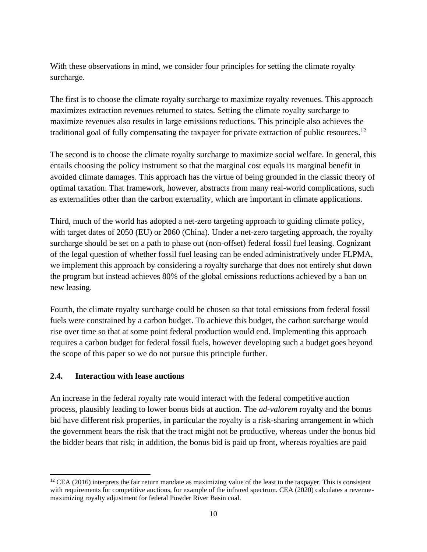With these observations in mind, we consider four principles for setting the climate royalty surcharge.

The first is to choose the climate royalty surcharge to maximize royalty revenues. This approach maximizes extraction revenues returned to states. Setting the climate royalty surcharge to maximize revenues also results in large emissions reductions. This principle also achieves the traditional goal of fully compensating the taxpayer for private extraction of public resources.<sup>12</sup>

The second is to choose the climate royalty surcharge to maximize social welfare. In general, this entails choosing the policy instrument so that the marginal cost equals its marginal benefit in avoided climate damages. This approach has the virtue of being grounded in the classic theory of optimal taxation. That framework, however, abstracts from many real-world complications, such as externalities other than the carbon externality, which are important in climate applications.

Third, much of the world has adopted a net-zero targeting approach to guiding climate policy, with target dates of 2050 (EU) or 2060 (China). Under a net-zero targeting approach, the royalty surcharge should be set on a path to phase out (non-offset) federal fossil fuel leasing. Cognizant of the legal question of whether fossil fuel leasing can be ended administratively under FLPMA, we implement this approach by considering a royalty surcharge that does not entirely shut down the program but instead achieves 80% of the global emissions reductions achieved by a ban on new leasing.

Fourth, the climate royalty surcharge could be chosen so that total emissions from federal fossil fuels were constrained by a carbon budget. To achieve this budget, the carbon surcharge would rise over time so that at some point federal production would end. Implementing this approach requires a carbon budget for federal fossil fuels, however developing such a budget goes beyond the scope of this paper so we do not pursue this principle further.

### **2.4. Interaction with lease auctions**

An increase in the federal royalty rate would interact with the federal competitive auction process, plausibly leading to lower bonus bids at auction. The *ad-valorem* royalty and the bonus bid have different risk properties, in particular the royalty is a risk-sharing arrangement in which the government bears the risk that the tract might not be productive, whereas under the bonus bid the bidder bears that risk; in addition, the bonus bid is paid up front, whereas royalties are paid

 $12$  CEA (2016) interprets the fair return mandate as maximizing value of the least to the taxpayer. This is consistent with requirements for competitive auctions, for example of the infrared spectrum. CEA (2020) calculates a revenuemaximizing royalty adjustment for federal Powder River Basin coal.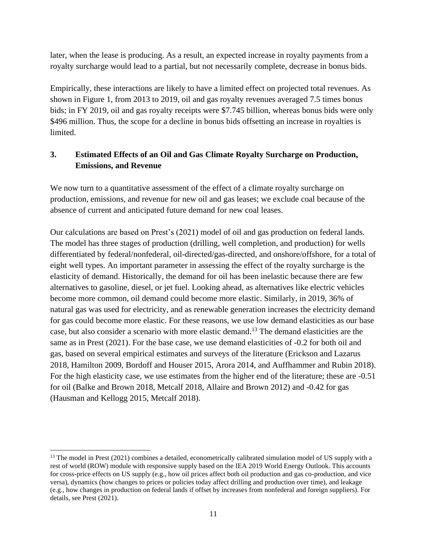later, when the lease is producing. As a result, an expected increase in royalty payments from a royalty surcharge would lead to a partial, but not necessarily complete, decrease in bonus bids.

Empirically, these interactions are likely to have a limited effect on projected total revenues. As shown in [Figure 1,](#page-5-0) from 2013 to 2019, oil and gas royalty revenues averaged 7.5 times bonus bids; in FY 2019, oil and gas royalty receipts were \$7.745 billion, whereas bonus bids were only \$496 million. Thus, the scope for a decline in bonus bids offsetting an increase in royalties is limited.

# **3. Estimated Effects of an Oil and Gas Climate Royalty Surcharge on Production, Emissions, and Revenue**

We now turn to a quantitative assessment of the effect of a climate royalty surcharge on production, emissions, and revenue for new oil and gas leases; we exclude coal because of the absence of current and anticipated future demand for new coal leases.

Our calculations are based on Prest's (2021) model of oil and gas production on federal lands. The model has three stages of production (drilling, well completion, and production) for wells differentiated by federal/nonfederal, oil-directed/gas-directed, and onshore/offshore, for a total of eight well types. An important parameter in assessing the effect of the royalty surcharge is the elasticity of demand. Historically, the demand for oil has been inelastic because there are few alternatives to gasoline, diesel, or jet fuel. Looking ahead, as alternatives like electric vehicles become more common, oil demand could become more elastic. Similarly, in 2019, 36% of natural gas was used for electricity, and as renewable generation increases the electricity demand for gas could become more elastic. For these reasons, we use low demand elasticities as our base case, but also consider a scenario with more elastic demand. <sup>13</sup> The demand elasticities are the same as in Prest (2021). For the base case, we use demand elasticities of -0.2 for both oil and gas, based on several empirical estimates and surveys of the literature (Erickson and Lazarus 2018, Hamilton 2009, Bordoff and Houser 2015, Arora 2014, and Auffhammer and Rubin 2018). For the high elasticity case, we use estimates from the higher end of the literature; these are -0.51 for oil (Balke and Brown 2018, Metcalf 2018, Allaire and Brown 2012) and -0.42 for gas (Hausman and Kellogg 2015, Metcalf 2018).

 $13$  The model in Prest (2021) combines a detailed, econometrically calibrated simulation model of US supply with a rest of world (ROW) module with responsive supply based on the IEA 2019 World Energy Outlook. This accounts for cross-price effects on US supply (e.g., how oil prices affect both oil production and gas co-production, and vice versa), dynamics (how changes to prices or policies today affect drilling and production over time), and leakage (e.g., how changes in production on federal lands if offset by increases from nonfederal and foreign suppliers). For details, see Prest (2021).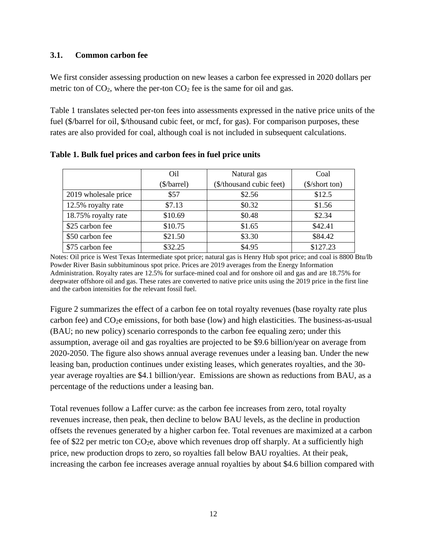### **3.1. Common carbon fee**

We first consider assessing production on new leases a carbon fee expressed in 2020 dollars per metric ton of  $CO<sub>2</sub>$ , where the per-ton  $CO<sub>2</sub>$  fee is the same for oil and gas.

[Table 1](#page-11-0) translates selected per-ton fees into assessments expressed in the native price units of the fuel (\$/barrel for oil, \$/thousand cubic feet, or mcf, for gas). For comparison purposes, these rates are also provided for coal, although coal is not included in subsequent calculations.

|                      | Oil         | Natural gas              | Coal           |
|----------------------|-------------|--------------------------|----------------|
|                      | (\$/barrel) | (\$/thousand cubic feet) | (\$/short ton) |
| 2019 wholesale price | \$57        | \$2.56                   | \$12.5         |
| 12.5% royalty rate   | \$7.13      | \$0.32                   | \$1.56         |
| 18.75% royalty rate  | \$10.69     | \$0.48                   | \$2.34         |
| \$25 carbon fee      | \$10.75     | \$1.65                   | \$42.41        |
| \$50 carbon fee      | \$21.50     | \$3.30                   | \$84.42        |
| \$75 carbon fee      | \$32.25     | \$4.95                   | \$127.23       |

<span id="page-11-0"></span>**Table 1. Bulk fuel prices and carbon fees in fuel price units**

Notes: Oil price is West Texas Intermediate spot price; natural gas is Henry Hub spot price; and coal is 8800 Btu/lb Powder River Basin subbituminous spot price. Prices are 2019 averages from the Energy Information Administration. Royalty rates are 12.5% for surface-mined coal and for onshore oil and gas and are 18.75% for deepwater offshore oil and gas. These rates are converted to native price units using the 2019 price in the first line and the carbon intensities for the relevant fossil fuel.

[Figure 2](#page-12-0) summarizes the effect of a carbon fee on total royalty revenues (base royalty rate plus carbon fee) and  $CO<sub>2</sub>e$  emissions, for both base (low) and high elasticities. The business-as-usual (BAU; no new policy) scenario corresponds to the carbon fee equaling zero; under this assumption, average oil and gas royalties are projected to be \$9.6 billion/year on average from 2020-2050. The figure also shows annual average revenues under a leasing ban. Under the new leasing ban, production continues under existing leases, which generates royalties, and the 30 year average royalties are \$4.1 billion/year. Emissions are shown as reductions from BAU, as a percentage of the reductions under a leasing ban.

Total revenues follow a Laffer curve: as the carbon fee increases from zero, total royalty revenues increase, then peak, then decline to below BAU levels, as the decline in production offsets the revenues generated by a higher carbon fee. Total revenues are maximized at a carbon fee of \$22 per metric ton CO2e, above which revenues drop off sharply. At a sufficiently high price, new production drops to zero, so royalties fall below BAU royalties. At their peak, increasing the carbon fee increases average annual royalties by about \$4.6 billion compared with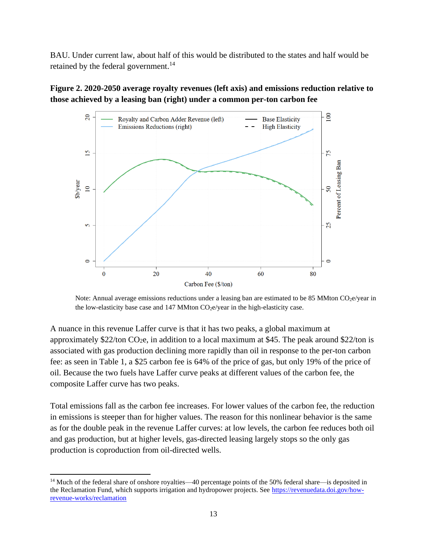BAU. Under current law, about half of this would be distributed to the states and half would be retained by the federal government.<sup>14</sup>



<span id="page-12-0"></span>**Figure 2. 2020-2050 average royalty revenues (left axis) and emissions reduction relative to those achieved by a leasing ban (right) under a common per-ton carbon fee**

Note: Annual average emissions reductions under a leasing ban are estimated to be 85 MMton CO<sub>2</sub>e/year in the low-elasticity base case and  $147$  MMton  $CO<sub>2</sub>e/year$  in the high-elasticity case.

A nuance in this revenue Laffer curve is that it has two peaks, a global maximum at approximately \$22/ton  $CO<sub>2</sub>e$ , in addition to a local maximum at \$45. The peak around \$22/ton is associated with gas production declining more rapidly than oil in response to the per-ton carbon fee: as seen in Table 1, a \$25 carbon fee is 64% of the price of gas, but only 19% of the price of oil. Because the two fuels have Laffer curve peaks at different values of the carbon fee, the composite Laffer curve has two peaks.

Total emissions fall as the carbon fee increases. For lower values of the carbon fee, the reduction in emissions is steeper than for higher values. The reason for this nonlinear behavior is the same as for the double peak in the revenue Laffer curves: at low levels, the carbon fee reduces both oil and gas production, but at higher levels, gas-directed leasing largely stops so the only gas production is coproduction from oil-directed wells.

<sup>&</sup>lt;sup>14</sup> Much of the federal share of onshore royalties—40 percentage points of the 50% federal share—is deposited in the Reclamation Fund, which supports irrigation and hydropower projects. Se[e https://revenuedata.doi.gov/how](https://revenuedata.doi.gov/how-revenue-works/reclamation)[revenue-works/reclamation](https://revenuedata.doi.gov/how-revenue-works/reclamation)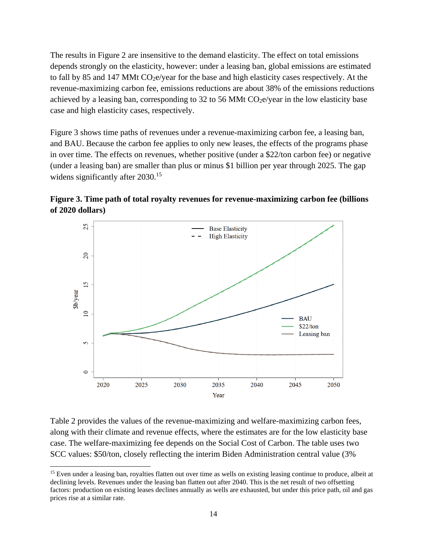The results in [Figure 2](#page-12-0) are insensitive to the demand elasticity. The effect on total emissions depends strongly on the elasticity, however: under a leasing ban, global emissions are estimated to fall by 85 and 147 MMt  $CO<sub>2</sub>e/year$  for the base and high elasticity cases respectively. At the revenue-maximizing carbon fee, emissions reductions are about 38% of the emissions reductions achieved by a leasing ban, corresponding to 32 to 56 MMt  $CO<sub>2</sub>e/year$  in the low elasticity base case and high elasticity cases, respectively.

[Figure 3](#page-13-0) shows time paths of revenues under a revenue-maximizing carbon fee, a leasing ban, and BAU. Because the carbon fee applies to only new leases, the effects of the programs phase in over time. The effects on revenues, whether positive (under a \$22/ton carbon fee) or negative (under a leasing ban) are smaller than plus or minus \$1 billion per year through 2025. The gap widens significantly after 2030.<sup>15</sup>



<span id="page-13-0"></span>

[Table 2](#page-14-0) provides the values of the revenue-maximizing and welfare-maximizing carbon fees, along with their climate and revenue effects, where the estimates are for the low elasticity base case. The welfare-maximizing fee depends on the Social Cost of Carbon. The table uses two SCC values: \$50/ton, closely reflecting the interim Biden Administration central value (3%

<sup>&</sup>lt;sup>15</sup> Even under a leasing ban, royalties flatten out over time as wells on existing leasing continue to produce, albeit at declining levels. Revenues under the leasing ban flatten out after 2040. This is the net result of two offsetting factors: production on existing leases declines annually as wells are exhausted, but under this price path, oil and gas prices rise at a similar rate.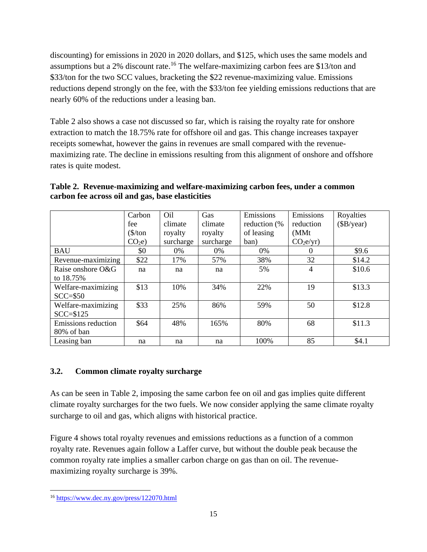discounting) for emissions in 2020 in 2020 dollars, and \$125, which uses the same models and assumptions but a 2% discount rate.<sup>16</sup> The welfare-maximizing carbon fees are \$13/ton and \$33/ton for the two SCC values, bracketing the \$22 revenue-maximizing value. Emissions reductions depend strongly on the fee, with the \$33/ton fee yielding emissions reductions that are nearly 60% of the reductions under a leasing ban.

[Table 2](#page-14-0) also shows a case not discussed so far, which is raising the royalty rate for onshore extraction to match the 18.75% rate for offshore oil and gas. This change increases taxpayer receipts somewhat, however the gains in revenues are small compared with the revenuemaximizing rate. The decline in emissions resulting from this alignment of onshore and offshore rates is quite modest.

|                     | Carbon                   | O <sub>il</sub> | Gas       | Emissions    | Emissions             | Royalties |
|---------------------|--------------------------|-----------------|-----------|--------------|-----------------------|-----------|
|                     | fee                      | climate         | climate   | reduction (% | reduction             | \$B/year) |
|                     | $(\frac{5}{\text{ton}})$ | royalty         | royalty   | of leasing   | (MMt                  |           |
|                     | CO <sub>2</sub> e        | surcharge       | surcharge | ban)         | CO <sub>2</sub> e/yr) |           |
| <b>BAU</b>          | \$0                      | 0%              | 0%        | 0%           | $\theta$              | \$9.6     |
| Revenue-maximizing  | \$22                     | 17%             | 57%       | 38%          | 32                    | \$14.2    |
| Raise onshore O&G   | na                       | na              | na        | 5%           | 4                     | \$10.6    |
| to 18.75%           |                          |                 |           |              |                       |           |
| Welfare-maximizing  | \$13                     | 10%             | 34%       | 22%          | 19                    | \$13.3    |
| $SCC = $50$         |                          |                 |           |              |                       |           |
| Welfare-maximizing  | \$33                     | 25%             | 86%       | 59%          | 50                    | \$12.8    |
| $SCC = $125$        |                          |                 |           |              |                       |           |
| Emissions reduction | \$64                     | 48%             | 165%      | 80%          | 68                    | \$11.3    |
| 80% of ban          |                          |                 |           |              |                       |           |
| Leasing ban         | na                       | na              | na        | 100%         | 85                    | \$4.1     |

<span id="page-14-0"></span>

| Table 2. Revenue-maximizing and welfare-maximizing carbon fees, under a common |
|--------------------------------------------------------------------------------|
| carbon fee across oil and gas, base elasticities                               |

# **3.2. Common climate royalty surcharge**

As can be seen in [Table 2,](#page-14-0) imposing the same carbon fee on oil and gas implies quite different climate royalty surcharges for the two fuels. We now consider applying the same climate royalty surcharge to oil and gas, which aligns with historical practice.

[Figure 4](#page-15-0) shows total royalty revenues and emissions reductions as a function of a common royalty rate. Revenues again follow a Laffer curve, but without the double peak because the common royalty rate implies a smaller carbon charge on gas than on oil. The revenuemaximizing royalty surcharge is 39%.

<sup>16</sup> <https://www.dec.ny.gov/press/122070.html>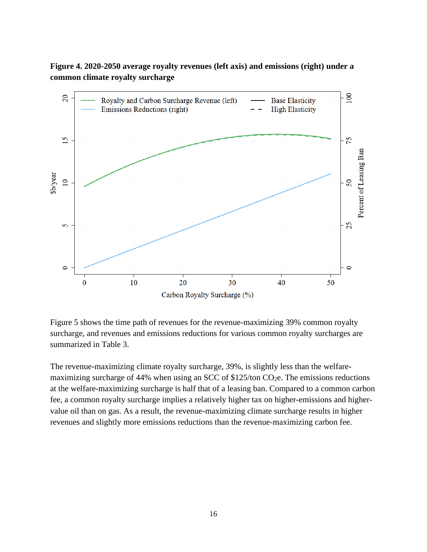## <span id="page-15-0"></span>**Figure 4. 2020-2050 average royalty revenues (left axis) and emissions (right) under a common climate royalty surcharge**



[Figure 5](#page-16-0) shows the time path of revenues for the revenue-maximizing 39% common royalty surcharge, and revenues and emissions reductions for various common royalty surcharges are summarized in [Table 3.](#page-16-1)

The revenue-maximizing climate royalty surcharge, 39%, is slightly less than the welfaremaximizing surcharge of 44% when using an SCC of  $$125/ton CO<sub>2</sub>e$ . The emissions reductions at the welfare-maximizing surcharge is half that of a leasing ban. Compared to a common carbon fee, a common royalty surcharge implies a relatively higher tax on higher-emissions and highervalue oil than on gas. As a result, the revenue-maximizing climate surcharge results in higher revenues and slightly more emissions reductions than the revenue-maximizing carbon fee.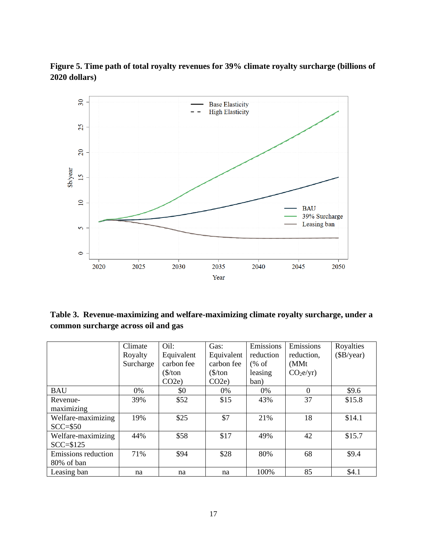<span id="page-16-0"></span>**Figure 5. Time path of total royalty revenues for 39% climate royalty surcharge (billions of 2020 dollars)** 



<span id="page-16-1"></span>**Table 3. Revenue-maximizing and welfare-maximizing climate royalty surcharge, under a common surcharge across oil and gas**

|                            | Climate   | Oil:                | Gas:              | Emissions | Emissions            | Royalties |
|----------------------------|-----------|---------------------|-------------------|-----------|----------------------|-----------|
|                            | Royalty   | Equivalent          | Equivalent        | reduction | reduction,           | \$B/year) |
|                            | Surcharge | carbon fee          | carbon fee        | % of      | (MMt                 |           |
|                            |           | $(\frac{1}{2})$ ton | $(\frac{\pi}{6})$ | leasing   | CO <sub>2</sub> e/yr |           |
|                            |           | CO2e                | CO2e              | ban)      |                      |           |
| <b>BAU</b>                 | 0%        | \$0                 | 0%                | 0%        | $\Omega$             | \$9.6     |
| Revenue-                   | 39%       | \$52                | \$15              | 43%       | 37                   | \$15.8    |
| maximizing                 |           |                     |                   |           |                      |           |
| Welfare-maximizing         | 19%       | \$25                | \$7               | 21%       | 18                   | \$14.1    |
| $SCC = $50$                |           |                     |                   |           |                      |           |
| Welfare-maximizing         | 44%       | \$58                | \$17              | 49%       | 42                   | \$15.7    |
| $SCC = $125$               |           |                     |                   |           |                      |           |
| <b>Emissions reduction</b> | 71%       | \$94                | \$28              | 80%       | 68                   | \$9.4     |
| 80% of ban                 |           |                     |                   |           |                      |           |
| Leasing ban                | na        | na                  | na                | 100%      | 85                   | \$4.1     |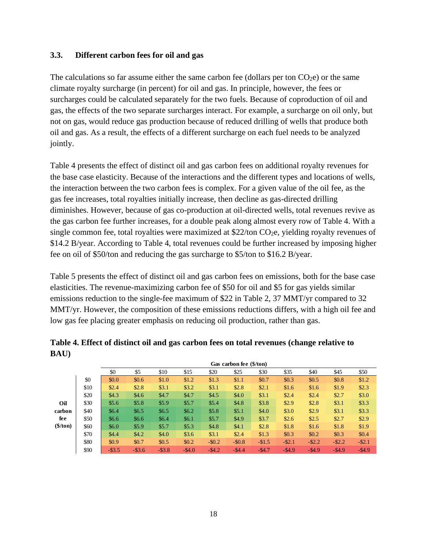#### **3.3. Different carbon fees for oil and gas**

The calculations so far assume either the same carbon fee (dollars per ton  $CO<sub>2</sub>e$ ) or the same climate royalty surcharge (in percent) for oil and gas. In principle, however, the fees or surcharges could be calculated separately for the two fuels. Because of coproduction of oil and gas, the effects of the two separate surcharges interact. For example, a surcharge on oil only, but not on gas, would reduce gas production because of reduced drilling of wells that produce both oil and gas. As a result, the effects of a different surcharge on each fuel needs to be analyzed jointly.

[Table 4](#page-17-0) presents the effect of distinct oil and gas carbon fees on additional royalty revenues for the base case elasticity. Because of the interactions and the different types and locations of wells, the interaction between the two carbon fees is complex. For a given value of the oil fee, as the gas fee increases, total royalties initially increase, then decline as gas-directed drilling diminishes. However, because of gas co-production at oil-directed wells, total revenues revive as the gas carbon fee further increases, for a double peak along almost every row of [Table 4.](#page-17-0) With a single common fee, total royalties were maximized at  $$22/ton CO<sub>2</sub>e$ , yielding royalty revenues of \$14.2 B/year. According to [Table 4,](#page-17-0) total revenues could be further increased by imposing higher fee on oil of \$50/ton and reducing the gas surcharge to \$5/ton to \$16.2 B/year.

[Table 5](#page-18-0) presents the effect of distinct oil and gas carbon fees on emissions, both for the base case elasticities. The revenue-maximizing carbon fee of \$50 for oil and \$5 for gas yields similar emissions reduction to the single-fee maximum of \$22 in Table 2, 37 MMT/yr compared to 32 MMT/yr. However, the composition of these emissions reductions differs, with a high oil fee and low gas fee placing greater emphasis on reducing oil production, rather than gas.

|          |      | Gas carbon fee (\$/ton) |           |           |           |           |           |          |           |           |           |           |
|----------|------|-------------------------|-----------|-----------|-----------|-----------|-----------|----------|-----------|-----------|-----------|-----------|
|          |      | \$0                     | \$5       | \$10      | \$15      | \$20      | \$25      | \$30     | \$35      | \$40      | \$45      | \$50      |
|          | \$0  | \$0.0                   | \$0.6     | \$1.0     | \$1.2     | \$1.3     | \$1.1     | \$0.7    | \$0.3     | \$0.5     | \$0.8\$   | \$1.2     |
|          | \$10 | \$2.4                   | \$2.8     | \$3.1     | \$3.2     | \$3.1     | \$2.8     | \$2.1    | \$1.6     | \$1.6     | \$1.9     | \$2.3     |
|          | \$20 | \$4.3                   | \$4.6\$   | \$4.7     | \$4.7     | \$4.5     | \$4.0     | \$3.1    | \$2.4     | \$2.4     | \$2.7     | \$3.0     |
| Oil      | \$30 | \$5.6                   | \$5.8\$   | \$5.9     | \$5.7     | \$5.4     | \$4.8     | \$3.8    | \$2.9     | \$2.8     | \$3.1     | \$3.3     |
| carbon   | \$40 | \$6.4                   | \$6.5     | \$6.5     | \$6.2\$   | \$5.8     | \$5.1     | \$4.0    | \$3.0     | \$2.9     | \$3.1     | \$3.3     |
| fee      | \$50 | \$6.6\$                 | \$6.6\$   | \$6.4     | \$6.1     | \$5.7     | \$4.9     | \$3.7    | \$2.6     | \$2.5     | \$2.7     | \$2.9     |
| (\$/ton) | \$60 | \$6.0\$                 | \$5.9     | \$5.7     | \$5.3     | \$4.8     | \$4.1     | \$2.8    | \$1.8     | \$1.6     | \$1.8     | \$1.9     |
|          | \$70 | \$4.4                   | \$4.2\$   | \$4.0     | \$3.6     | \$3.1     | \$2.4     | \$1.3    | \$0.3\$   | \$0.2\$   | \$0.3     | \$0.4     |
|          | \$80 | \$0.9                   | \$0.7     | \$0.5     | \$0.2\$   | $-$0.2$   | $-$0.8$   | $-\$1.5$ | $-$ \$2.1 | $-$ \$2.2 | $-$ \$2.2 | $-$ \$2.1 |
|          | \$90 | $-$ \$3.5               | $-$ \$3.6 | $-$ \$3.8 | $-$ \$4.0 | $-$ \$4.2 | $-$ \$4.4 | $-$4.7$  | $-$ \$4.9 | $-$ \$4.9 | $-$ \$4.9 | $-$ \$4.9 |

<span id="page-17-0"></span>**Table 4. Effect of distinct oil and gas carbon fees on total revenues (change relative to BAU)**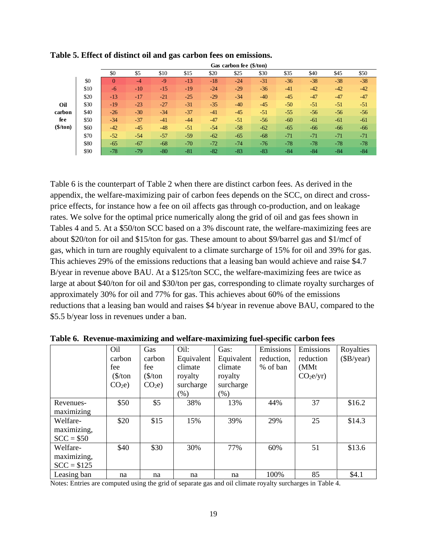|          |      | Gas carbon fee (\$/ton) |       |       |       |       |       |       |       |       |       |       |
|----------|------|-------------------------|-------|-------|-------|-------|-------|-------|-------|-------|-------|-------|
|          |      | \$0                     | \$5   | \$10  | \$15  | \$20  | \$25  | \$30  | \$35  | \$40  | \$45  | \$50  |
|          | \$0  | $\overline{0}$          | $-4$  | $-9$  | $-13$ | $-18$ | $-24$ | $-31$ | $-36$ | $-38$ | $-38$ | $-38$ |
|          | \$10 | $-6$                    | $-10$ | $-15$ | $-19$ | $-24$ | $-29$ | $-36$ | $-41$ | $-42$ | $-42$ | $-42$ |
|          | \$20 | $-13$                   | $-17$ | $-21$ | $-25$ | $-29$ | $-34$ | $-40$ | $-45$ | $-47$ | $-47$ | $-47$ |
| Oil      | \$30 | $-19$                   | $-23$ | $-27$ | $-31$ | $-35$ | $-40$ | $-45$ | $-50$ | $-51$ | $-51$ | $-51$ |
| carbon   | \$40 | $-26$                   | $-30$ | $-34$ | $-37$ | $-41$ | $-45$ | $-51$ | $-55$ | $-56$ | $-56$ | $-56$ |
| fee      | \$50 | $-34$                   | $-37$ | $-41$ | $-44$ | $-47$ | $-51$ | $-56$ | $-60$ | $-61$ | $-61$ | $-61$ |
| (\$/ton) | \$60 | $-42$                   | $-45$ | $-48$ | $-51$ | $-54$ | $-58$ | $-62$ | $-65$ | $-66$ | $-66$ | -66   |
|          | \$70 | $-52$                   | $-54$ | $-57$ | $-59$ | $-62$ | $-65$ | $-68$ | $-71$ | $-71$ | $-71$ | $-71$ |
|          | \$80 | $-65$                   | $-67$ | $-68$ | $-70$ | $-72$ | $-74$ | $-76$ | $-78$ | $-78$ | $-78$ | $-78$ |
|          | \$90 | $-78$                   | $-79$ | $-80$ | $-81$ | $-82$ | $-83$ | $-83$ | $-84$ | $-84$ | $-84$ | $-84$ |

<span id="page-18-0"></span>**Table 5. Effect of distinct oil and gas carbon fees on emissions.**

[Table 6](#page-18-1) is the counterpart of [Table 2](#page-14-0) when there are distinct carbon fees. As derived in the appendix, the welfare-maximizing pair of carbon fees depends on the SCC, on direct and crossprice effects, for instance how a fee on oil affects gas through co-production, and on leakage rates. We solve for the optimal price numerically along the grid of oil and gas fees shown in Tables 4 and 5. At a \$50/ton SCC based on a 3% discount rate, the welfare-maximizing fees are about \$20/ton for oil and \$15/ton for gas. These amount to about \$9/barrel gas and \$1/mcf of gas, which in turn are roughly equivalent to a climate surcharge of 15% for oil and 39% for gas. This achieves 29% of the emissions reductions that a leasing ban would achieve and raise \$4.7 B/year in revenue above BAU. At a \$125/ton SCC, the welfare-maximizing fees are twice as large at about \$40/ton for oil and \$30/ton per gas, corresponding to climate royalty surcharges of approximately 30% for oil and 77% for gas. This achieves about 60% of the emissions reductions that a leasing ban would and raises \$4 b/year in revenue above BAU, compared to the \$5.5 b/year loss in revenues under a ban.

|              | O <sub>il</sub>          | Gas                         | Oil:       | Gas:       | Emissions  | Emissions             | Royalties |
|--------------|--------------------------|-----------------------------|------------|------------|------------|-----------------------|-----------|
|              | carbon                   | carbon                      | Equivalent | Equivalent | reduction, | reduction             | \$B/year) |
|              | fee                      | fee                         | climate    | climate    | % of ban   | (MMt                  |           |
|              | $(\frac{5}{\text{ton}})$ | $(\frac{\xi}{\tan \theta})$ | royalty    | royalty    |            | CO <sub>2</sub> e/yr) |           |
|              | CO <sub>2</sub> e        | CO <sub>2</sub> e           | surcharge  | surcharge  |            |                       |           |
|              |                          |                             | $(\% )$    | $(\% )$    |            |                       |           |
| Revenues-    | \$50                     | \$5                         | 38%        | 13%        | 44%        | 37                    | \$16.2    |
| maximizing   |                          |                             |            |            |            |                       |           |
| Welfare-     | \$20                     | \$15                        | 15%        | 39%        | 29%        | 25                    | \$14.3    |
| maximizing,  |                          |                             |            |            |            |                       |           |
| $SCC = $50$  |                          |                             |            |            |            |                       |           |
| Welfare-     | \$40                     | \$30                        | 30%        | 77%        | 60%        | 51                    | \$13.6    |
| maximizing,  |                          |                             |            |            |            |                       |           |
| $SCC = $125$ |                          |                             |            |            |            |                       |           |
| Leasing ban  | na                       | na                          | na         | na         | 100%       | 85                    | \$4.1     |

<span id="page-18-1"></span>**Table 6. Revenue-maximizing and welfare-maximizing fuel-specific carbon fees**

Notes: Entries are computed using the grid of separate gas and oil climate royalty surcharges in [Table 4.](#page-17-0)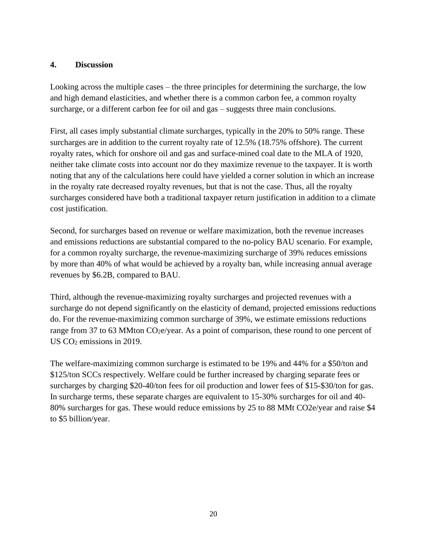### **4. Discussion**

Looking across the multiple cases – the three principles for determining the surcharge, the low and high demand elasticities, and whether there is a common carbon fee, a common royalty surcharge, or a different carbon fee for oil and gas – suggests three main conclusions.

First, all cases imply substantial climate surcharges, typically in the 20% to 50% range. These surcharges are in addition to the current royalty rate of 12.5% (18.75% offshore). The current royalty rates, which for onshore oil and gas and surface-mined coal date to the MLA of 1920, neither take climate costs into account nor do they maximize revenue to the taxpayer. It is worth noting that any of the calculations here could have yielded a corner solution in which an increase in the royalty rate decreased royalty revenues, but that is not the case. Thus, all the royalty surcharges considered have both a traditional taxpayer return justification in addition to a climate cost justification.

Second, for surcharges based on revenue or welfare maximization, both the revenue increases and emissions reductions are substantial compared to the no-policy BAU scenario. For example, for a common royalty surcharge, the revenue-maximizing surcharge of 39% reduces emissions by more than 40% of what would be achieved by a royalty ban, while increasing annual average revenues by \$6.2B, compared to BAU.

Third, although the revenue-maximizing royalty surcharges and projected revenues with a surcharge do not depend significantly on the elasticity of demand, projected emissions reductions do. For the revenue-maximizing common surcharge of 39%, we estimate emissions reductions range from 37 to 63 MMton CO<sub>2</sub>e/year. As a point of comparison, these round to one percent of US CO<sub>2</sub> emissions in 2019.

The welfare-maximizing common surcharge is estimated to be 19% and 44% for a \$50/ton and \$125/ton SCCs respectively. Welfare could be further increased by charging separate fees or surcharges by charging \$20-40/ton fees for oil production and lower fees of \$15-\$30/ton for gas. In surcharge terms, these separate charges are equivalent to 15-30% surcharges for oil and 40- 80% surcharges for gas. These would reduce emissions by 25 to 88 MMt CO2e/year and raise \$4 to \$5 billion/year.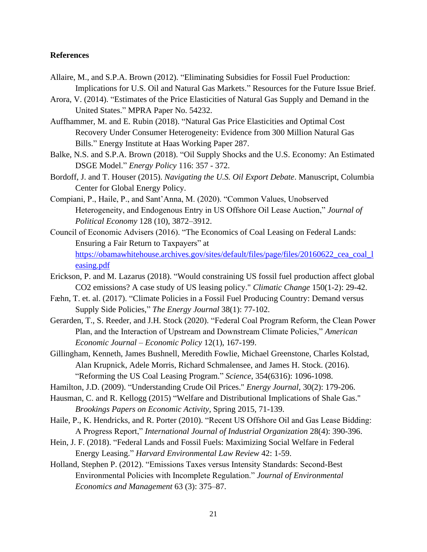#### **References**

- Allaire, M., and S.P.A. Brown (2012). "Eliminating Subsidies for Fossil Fuel Production: Implications for U.S. Oil and Natural Gas Markets." Resources for the Future Issue Brief.
- Arora, V. (2014). "Estimates of the Price Elasticities of Natural Gas Supply and Demand in the United States." MPRA Paper No. 54232.

Auffhammer, M. and E. Rubin (2018). "Natural Gas Price Elasticities and Optimal Cost Recovery Under Consumer Heterogeneity: Evidence from 300 Million Natural Gas Bills." Energy Institute at Haas Working Paper 287.

Balke, N.S. and S.P.A. Brown (2018). "Oil Supply Shocks and the U.S. Economy: An Estimated DSGE Model." *Energy Policy* 116: 357 - 372.

Bordoff, J. and T. Houser (2015). *Navigating the U.S. Oil Export Debate*. Manuscript, Columbia Center for Global Energy Policy.

- Compiani, P., Haile, P., and Sant'Anna, M. (2020). "Common Values, Unobserved Heterogeneity, and Endogenous Entry in US Offshore Oil Lease Auction," *Journal of Political Economy* 128 (10), 3872–3912.
- Council of Economic Advisers (2016). "The Economics of Coal Leasing on Federal Lands: Ensuring a Fair Return to Taxpayers" at [https://obamawhitehouse.archives.gov/sites/default/files/page/files/20160622\\_cea\\_coal\\_l](https://obamawhitehouse.archives.gov/sites/default/files/page/files/20160622_cea_coal_leasing.pdf) [easing.pdf](https://obamawhitehouse.archives.gov/sites/default/files/page/files/20160622_cea_coal_leasing.pdf)
- Erickson, P. and M. Lazarus (2018). "Would constraining US fossil fuel production affect global CO2 emissions? A case study of US leasing policy." *Climatic Change* 150(1-2): 29-42.
- Fæhn, T. et. al. (2017). "Climate Policies in a Fossil Fuel Producing Country: Demand versus Supply Side Policies," *The Energy Journal* 38(1): 77-102.
- Gerarden, T., S. Reeder, and J.H. Stock (2020). "Federal Coal Program Reform, the Clean Power Plan, and the Interaction of Upstream and Downstream Climate Policies," *American Economic Journal – Economic Policy* 12(1), 167-199.
- Gillingham, Kenneth, James Bushnell, Meredith Fowlie, Michael Greenstone, Charles Kolstad, Alan Krupnick, Adele Morris, Richard Schmalensee, and James H. Stock. (2016). "Reforming the US Coal Leasing Program." *Science*, 354(6316): 1096-1098.

Hamilton, J.D. (2009). "Understanding Crude Oil Prices." *Energy Journal*, 30(2): 179-206.

- Hausman, C. and R. Kellogg (2015) "Welfare and Distributional Implications of Shale Gas." *Brookings Papers on Economic Activity*, Spring 2015, 71-139.
- Haile, P., K. Hendricks, and R. Porter (2010). "Recent US Offshore Oil and Gas Lease Bidding: A Progress Report," *International Journal of Industrial Organization* 28(4): 390-396.
- Hein, J. F. (2018). "Federal Lands and Fossil Fuels: Maximizing Social Welfare in Federal Energy Leasing." *Harvard Environmental Law Review* 42: 1-59.
- Holland, Stephen P. (2012). "Emissions Taxes versus Intensity Standards: Second-Best Environmental Policies with Incomplete Regulation." *Journal of Environmental Economics and Management* 63 (3): 375–87.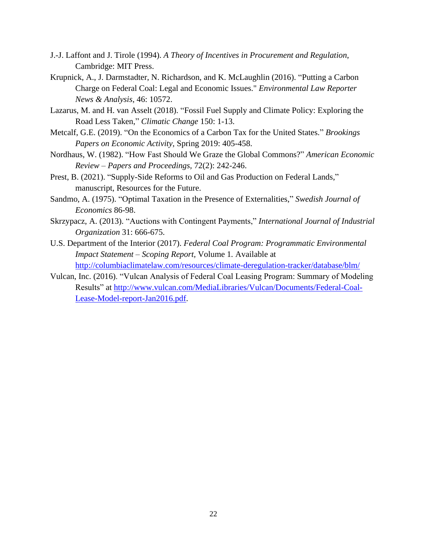- J.-J. Laffont and J. Tirole (1994). *A Theory of Incentives in Procurement and Regulation*, Cambridge: MIT Press.
- Krupnick, A., J. Darmstadter, N. Richardson, and K. McLaughlin (2016). "Putting a Carbon Charge on Federal Coal: Legal and Economic Issues." *Environmental Law Reporter News & Analysis*, 46: 10572.
- Lazarus, M. and H. van Asselt (2018). "Fossil Fuel Supply and Climate Policy: Exploring the Road Less Taken," *Climatic Change* 150: 1-13.
- Metcalf, G.E. (2019). "On the Economics of a Carbon Tax for the United States." *Brookings Papers on Economic Activity*, Spring 2019: 405-458.
- Nordhaus, W. (1982). "How Fast Should We Graze the Global Commons?" *American Economic Review – Papers and Proceedings,* 72(2): 242-246.
- Prest, B. (2021). "Supply-Side Reforms to Oil and Gas Production on Federal Lands," manuscript, Resources for the Future.
- Sandmo, A. (1975). "Optimal Taxation in the Presence of Externalities," *Swedish Journal of Economics* 86-98.
- Skrzypacz, A. (2013). "Auctions with Contingent Payments," *International Journal of Industrial Organization* 31: 666-675.
- U.S. Department of the Interior (2017). *Federal Coal Program: Programmatic Environmental Impact Statement – Scoping Report,* Volume 1*.* Available at <http://columbiaclimatelaw.com/resources/climate-deregulation-tracker/database/blm/>
- Vulcan, Inc. (2016). "Vulcan Analysis of Federal Coal Leasing Program: Summary of Modeling Results" at [http://www.vulcan.com/MediaLibraries/Vulcan/Documents/Federal-Coal-](http://www.vulcan.com/MediaLibraries/Vulcan/Documents/Federal-Coal-Lease-Model-report-Jan2016.pdf)[Lease-Model-report-Jan2016.pdf.](http://www.vulcan.com/MediaLibraries/Vulcan/Documents/Federal-Coal-Lease-Model-report-Jan2016.pdf)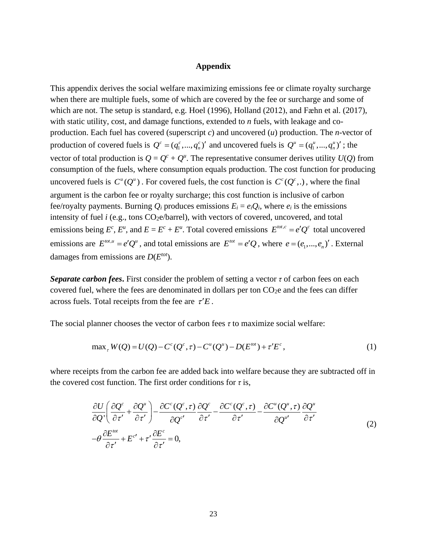#### **Appendix**

This appendix derives the social welfare maximizing emissions fee or climate royalty surcharge when there are multiple fuels, some of which are covered by the fee or surcharge and some of which are not. The setup is standard, e.g. Hoel (1996), Holland (2012), and Fæhn et al. (2017), with static utility, cost, and damage functions, extended to *n* fuels, with leakage and coproduction. Each fuel has covered (superscript *c*) and uncovered (*u*) production. The *n*-vector of production of covered fuels is  $Q^c = (q_1^c, ..., q_n^c)'$  and uncovered fuels is  $Q^u = (q_1^u, ..., q_n^u)'$ ; the vector of total production is  $Q = Q^c + Q^u$ . The representative consumer derives utility  $U(Q)$  from consumption of the fuels, where consumption equals production. The cost function for producing uncovered fuels is  $C^u(Q^u)$ . For covered fuels, the cost function is  $C^c(Q^c)$ , where the final argument is the carbon fee or royalty surcharge; this cost function is inclusive of carbon fee/royalty payments. Burning  $Q_i$  produces emissions  $E_i = e_i Q_i$ , where  $e_i$  is the emissions intensity of fuel  $i$  (e.g., tons  $CO<sub>2</sub>e/barrel$ ), with vectors of covered, uncovered, and total emissions being  $E^c$ ,  $E^u$ , and  $E = E^c + E^u$ . Total covered emissions  $E^{tot,c} = e'Q^c$  total uncovered emissions are  $E^{tot,u} = e'Q^u$ , and total emissions are  $E^{tot} = e'Q$ , where  $e = (e_1, ..., e_n)'$ . External damages from emissions are *D*(*E tot*).

*Separate carbon fees***.** First consider the problem of setting a vector *τ* of carbon fees on each covered fuel, where the fees are denominated in dollars per ton  $CO<sub>2</sub>e$  and the fees can differ across fuels. Total receipts from the fee are  $\tau' E$ .

The social planner chooses the vector of carbon fees 
$$
\tau
$$
 to maximize social welfare:  
\n
$$
\max_{\tau} W(Q) = U(Q) - C^{c}(Q^{c}, \tau) - C^{u}(Q^{u}) - D(E^{tot}) + \tau'E^{c},
$$
\n(1)

where receipts from the carbon fee are added back into welfare because they are subtracted off in

the covered cost function. The first order conditions for 
$$
\tau
$$
 is,  
\n
$$
\frac{\partial U}{\partial Q'} \left( \frac{\partial Q^c}{\partial \tau'} + \frac{\partial Q^u}{\partial \tau'} \right) - \frac{\partial C^c (Q^c, \tau)}{\partial Q^{c'}} \frac{\partial Q^c}{\partial \tau'} - \frac{\partial C^c (Q^c, \tau)}{\partial \tau'} - \frac{\partial C^u (Q^u, \tau)}{\partial Q^{u'}} \frac{\partial Q^u}{\partial \tau'}
$$
\n
$$
- \theta \frac{\partial E^{tot}}{\partial \tau'} + E^{c'} + \tau' \frac{\partial E^c}{\partial \tau'} = 0,
$$
\n(2)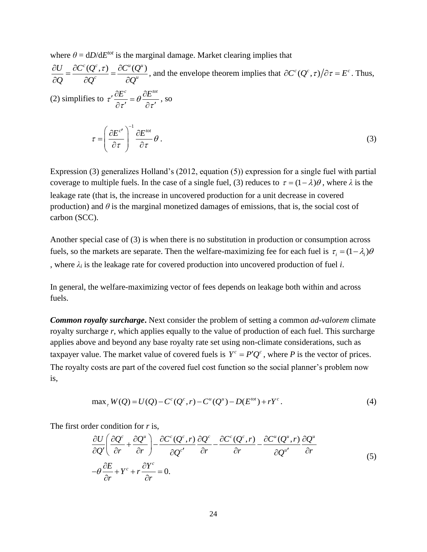where  $\theta = dD/dE^{tot}$  is the marginal damage. Market clearing implies that  $\frac{c}{c}(\mathcal{Q}^c, \tau) - \frac{\partial C^u(\mathcal{Q}^u)}{c}$  $\frac{v^2}{c} = \frac{1}{2Q^u}$  $U = \partial C^{c}(Q^{c}, \tau) - \partial C^{u}(Q^{c})$  $\frac{\partial}{\partial Q} = \frac{\partial^2 Q}{\partial Q^c} \cdot \frac{\partial Q}{\partial Q^c} = \frac{\partial^2 Q}{\partial Q^c}$  $\frac{\partial U}{\partial \Omega} = \frac{\partial C^{c}(Q^{c}, \tau)}{\partial \Omega^{c}} = \frac{\partial C^{u}(Q^{c})}{\partial \Omega^{c}}$  $\frac{\partial U}{\partial Q} = \frac{\partial C^{\circ}(Q^{\circ}, \tau)}{\partial Q^{\circ}} = \frac{\partial C^{\circ}(Q^{\circ})}{\partial Q^{\circ}}$ , and the envelope theorem implies that  $\partial C^{\circ}(Q^{\circ}, \tau)/\partial \tau = E^{\circ}$ . Thus, (2) simplifies to  $\tau' \frac{\partial E^c}{\partial t} = \theta \frac{\partial E^{tot}}{\partial t}$  $\tau'$ <sup>-0</sup>  $\partial \tau'$  $\frac{\partial E^{c}}{\partial \tau'} = \theta \frac{\partial E^{tot}}{\partial \tau'}$ , so  $\tau = \left(\frac{\partial E^{c'}}{\partial \tau}\right)^{-1} \frac{\partial E^{tot}}{\partial \tau} \theta$ .  $\overline{\tau}$   $\overline{\partial \tau}$  $\Big( \left. \partial E^{c^{\prime}} \right)^{-1} \partial E^{t_0}$  $=\left(\frac{\partial E}{\partial \tau}\right)\frac{\partial E}{\partial \tau}$ .  $(3)$ 

Expression (3) generalizes Holland's (2012, equation (5)) expression for a single fuel with partial coverage to multiple fuels. In the case of a single fuel, (3) reduces to  $\tau = (1 - \lambda)\theta$ , where  $\lambda$  is the leakage rate (that is, the increase in uncovered production for a unit decrease in covered production) and  $\theta$  is the marginal monetized damages of emissions, that is, the social cost of carbon (SCC).

Another special case of (3) is when there is no substitution in production or consumption across fuels, so the markets are separate. Then the welfare-maximizing fee for each fuel is  $\tau_i = (1 - \lambda_i)\theta$ , where *λ<sup>i</sup>* is the leakage rate for covered production into uncovered production of fuel *i*.

In general, the welfare-maximizing vector of fees depends on leakage both within and across fuels.

*Common royalty surcharge***.** Next consider the problem of setting a common *ad-valorem* climate royalty surcharge *r*, which applies equally to the value of production of each fuel. This surcharge applies above and beyond any base royalty rate set using non-climate considerations, such as taxpayer value. The market value of covered fuels is  $Y^c = P'Q^c$ , where P is the vector of prices. The royalty costs are part of the covered fuel cost function so the social planner's problem now is,

$$
\max_{\tau} W(Q) = U(Q) - C^{c}(Q^{c}, r) - C^{u}(Q^{u}) - D(E^{tot}) + rY^{c}.
$$
\n(4)

The first order condition for *r* is,

$$
\begin{aligned}\n\text{ler condition for } r \text{ is,} \\
\frac{\partial U}{\partial Q'} \left( \frac{\partial Q^c}{\partial r} + \frac{\partial Q^u}{\partial r} \right) - \frac{\partial C^c (Q^c, r)}{\partial Q^{c'}} \frac{\partial Q^c}{\partial r} - \frac{\partial C^c (Q^c, r)}{\partial r} - \frac{\partial C^u (Q^u, r)}{\partial Q^{u'}} \frac{\partial Q^u}{\partial r} \\
-\theta \frac{\partial E}{\partial r} + Y^c + r \frac{\partial Y^c}{\partial r} &= 0.\n\end{aligned} \tag{5}
$$